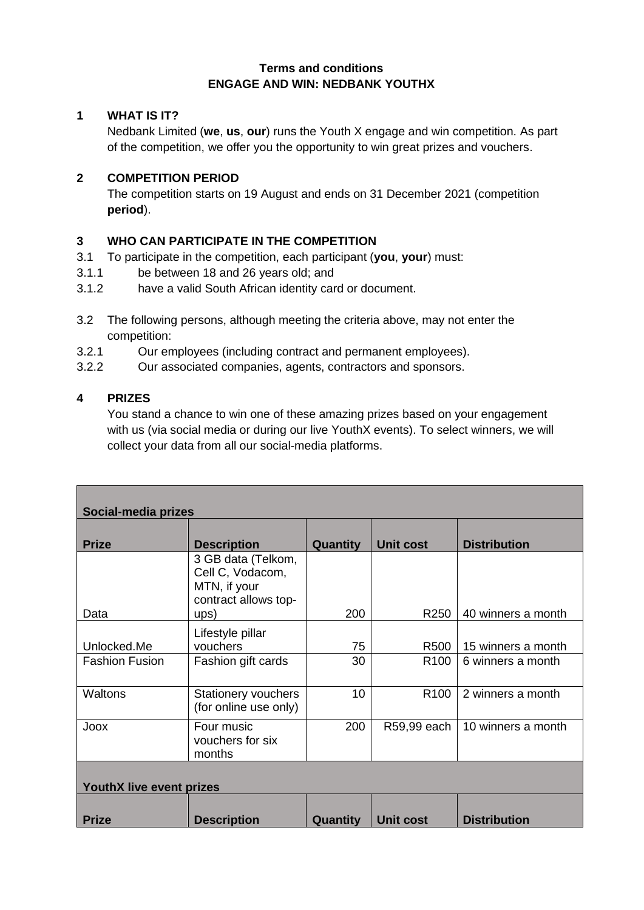### **Terms and conditions ENGAGE AND WIN: NEDBANK YOUTHX**

# **1 WHAT IS IT?**

Nedbank Limited (**we**, **us**, **our**) runs the Youth X engage and win competition. As part of the competition, we offer you the opportunity to win great prizes and vouchers.

### **2 COMPETITION PERIOD**

The competition starts on 19 August and ends on 31 December 2021 (competition **period**).

# **3 WHO CAN PARTICIPATE IN THE COMPETITION**

- 3.1 To participate in the competition, each participant (**you**, **your**) must:
- 3.1.1 be between 18 and 26 years old; and
- 3.1.2 have a valid South African identity card or document.
- 3.2 The following persons, although meeting the criteria above, may not enter the competition:
- 3.2.1 Our employees (including contract and permanent employees).
- 3.2.2 Our associated companies, agents, contractors and sponsors.

# **4 PRIZES**

You stand a chance to win one of these amazing prizes based on your engagement with us (via social media or during our live YouthX events). To select winners, we will collect your data from all our social-media platforms.

| Social-media prizes             |                                                                                |          |                  |                     |  |  |
|---------------------------------|--------------------------------------------------------------------------------|----------|------------------|---------------------|--|--|
| <b>Prize</b>                    | <b>Description</b>                                                             | Quantity | <b>Unit cost</b> | <b>Distribution</b> |  |  |
|                                 | 3 GB data (Telkom,<br>Cell C, Vodacom,<br>MTN, if your<br>contract allows top- |          |                  |                     |  |  |
| Data                            | ups)                                                                           | 200      | R <sub>250</sub> | 40 winners a month  |  |  |
| Unlocked.Me                     | Lifestyle pillar<br>vouchers                                                   | 75       | R500             | 15 winners a month  |  |  |
| <b>Fashion Fusion</b>           | Fashion gift cards                                                             | 30       | R <sub>100</sub> | 6 winners a month   |  |  |
| <b>Waltons</b>                  | <b>Stationery vouchers</b><br>(for online use only)                            | 10       | R <sub>100</sub> | 2 winners a month   |  |  |
| Joox                            | Four music<br>vouchers for six<br>months                                       | 200      | R59,99 each      | 10 winners a month  |  |  |
| <b>YouthX live event prizes</b> |                                                                                |          |                  |                     |  |  |
| <b>Prize</b>                    | <b>Description</b>                                                             | Quantity | <b>Unit cost</b> | <b>Distribution</b> |  |  |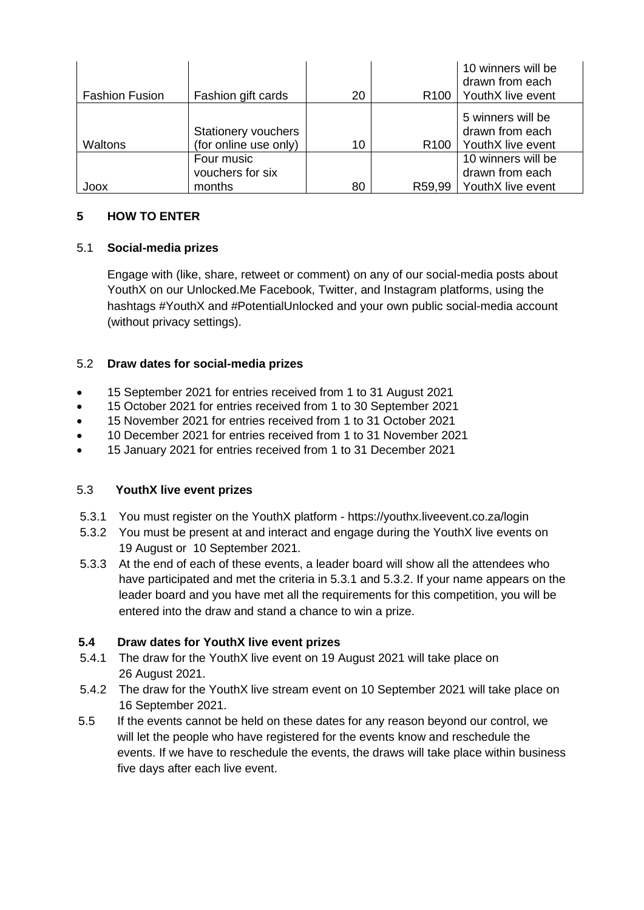|                       |                                              |    |                  | 10 winners will be<br>drawn from each                                        |
|-----------------------|----------------------------------------------|----|------------------|------------------------------------------------------------------------------|
| <b>Fashion Fusion</b> | Fashion gift cards                           | 20 | R <sub>100</sub> | YouthX live event                                                            |
| Waltons               | Stationery vouchers<br>(for online use only) | 10 |                  | 5 winners will be<br>drawn from each<br>R <sub>100</sub>   YouthX live event |
|                       | Four music                                   |    |                  | 10 winners will be                                                           |
|                       | vouchers for six                             |    |                  | drawn from each                                                              |
| Joox                  | months                                       | 80 | R59,99           | YouthX live event                                                            |

# **5 HOW TO ENTER**

### 5.1 **Social-media prizes**

Engage with (like, share, retweet or comment) on any of our social-media posts about YouthX on our Unlocked.Me Facebook, Twitter, and Instagram platforms, using the hashtags #YouthX and #PotentialUnlocked and your own public social-media account (without privacy settings).

### 5.2 **Draw dates for social-media prizes**

- 15 September 2021 for entries received from 1 to 31 August 2021
- 15 October 2021 for entries received from 1 to 30 September 2021
- 15 November 2021 for entries received from 1 to 31 October 2021
- 10 December 2021 for entries received from 1 to 31 November 2021
- 15 January 2021 for entries received from 1 to 31 December 2021

#### 5.3 **YouthX live event prizes**

- 5.3.1 You must register on the YouthX platform https://youthx.liveevent.co.za/login
- 5.3.2 You must be present at and interact and engage during the YouthX live events on 19 August or 10 September 2021.
- 5.3.3 At the end of each of these events, a leader board will show all the attendees who have participated and met the criteria in 5.3.1 and 5.3.2. If your name appears on the leader board and you have met all the requirements for this competition, you will be entered into the draw and stand a chance to win a prize.

### **5.4 Draw dates for YouthX live event prizes**

- 5.4.1 The draw for the YouthX live event on 19 August 2021 will take place on 26 August 2021.
- 5.4.2 The draw for the YouthX live stream event on 10 September 2021 will take place on 16 September 2021.
- 5.5 If the events cannot be held on these dates for any reason beyond our control, we will let the people who have registered for the events know and reschedule the events. If we have to reschedule the events, the draws will take place within business five days after each live event.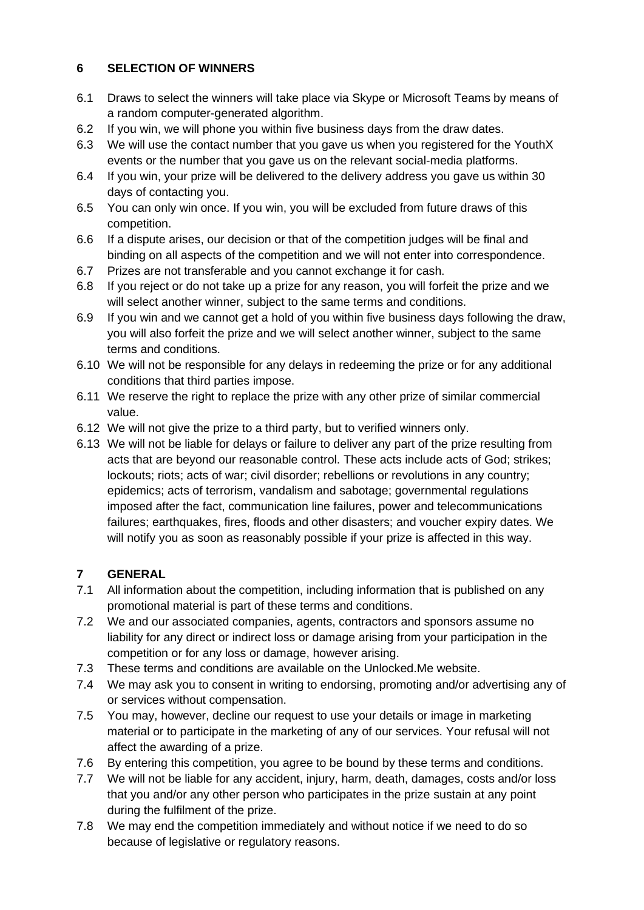# **6 SELECTION OF WINNERS**

- 6.1 Draws to select the winners will take place via Skype or Microsoft Teams by means of a random computer-generated algorithm.
- 6.2 If you win, we will phone you within five business days from the draw dates.
- 6.3 We will use the contact number that you gave us when you registered for the YouthX events or the number that you gave us on the relevant social-media platforms.
- 6.4 If you win, your prize will be delivered to the delivery address you gave us within 30 days of contacting you.
- 6.5 You can only win once. If you win, you will be excluded from future draws of this competition.
- 6.6 If a dispute arises, our decision or that of the competition judges will be final and binding on all aspects of the competition and we will not enter into correspondence.
- 6.7 Prizes are not transferable and you cannot exchange it for cash.
- 6.8 If you reject or do not take up a prize for any reason, you will forfeit the prize and we will select another winner, subject to the same terms and conditions.
- 6.9 If you win and we cannot get a hold of you within five business days following the draw, you will also forfeit the prize and we will select another winner, subject to the same terms and conditions.
- 6.10 We will not be responsible for any delays in redeeming the prize or for any additional conditions that third parties impose.
- 6.11 We reserve the right to replace the prize with any other prize of similar commercial value.
- 6.12 We will not give the prize to a third party, but to verified winners only.
- 6.13 We will not be liable for delays or failure to deliver any part of the prize resulting from acts that are beyond our reasonable control. These acts include acts of God; strikes; lockouts; riots; acts of war; civil disorder; rebellions or revolutions in any country; epidemics; acts of terrorism, vandalism and sabotage; governmental regulations imposed after the fact, communication line failures, power and telecommunications failures; earthquakes, fires, floods and other disasters; and voucher expiry dates. We will notify you as soon as reasonably possible if your prize is affected in this way.

# **7 GENERAL**

- 7.1 All information about the competition, including information that is published on any promotional material is part of these terms and conditions.
- 7.2 We and our associated companies, agents, contractors and sponsors assume no liability for any direct or indirect loss or damage arising from your participation in the competition or for any loss or damage, however arising.
- 7.3 These terms and conditions are available on the Unlocked.Me website.
- 7.4 We may ask you to consent in writing to endorsing, promoting and/or advertising any of or services without compensation.
- 7.5 You may, however, decline our request to use your details or image in marketing material or to participate in the marketing of any of our services. Your refusal will not affect the awarding of a prize.
- 7.6 By entering this competition, you agree to be bound by these terms and conditions.
- 7.7 We will not be liable for any accident, injury, harm, death, damages, costs and/or loss that you and/or any other person who participates in the prize sustain at any point during the fulfilment of the prize.
- 7.8 We may end the competition immediately and without notice if we need to do so because of legislative or regulatory reasons.